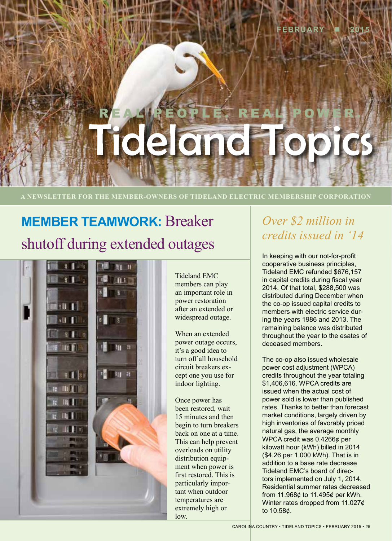# REAL PEOPLE. REAL POWER. rideland

**A NEWSLETTER FOR THE MEMBER-OWNERS OF TIDELAND ELECTRIC MEMBERSHIP CORPORATION**

## **MEMBER TEAMWORK:** Breaker shutoff during extended outages



Tideland EMC members can play an important role in power restoration after an extended or widespread outage.

When an extended power outage occurs, it's a good idea to turn off all household circuit breakers except one you use for indoor lighting.

Once power has been restored, wait 15 minutes and then begin to turn breakers back on one at a time. This can help prevent overloads on utility distribution equipment when power is first restored. This is particularly important when outdoor temperatures are extremely high or low.

## *Over \$2 million in credits issued in '14*

In keeping with our not-for-profit cooperative business principles, Tideland EMC refunded \$676,157 in capital credits during fiscal year 2014. Of that total, \$288,500 was distributed during December when the co-op issued capital credits to members with electric service during the years 1986 and 2013. The remaining balance was distributed throughout the year to the esates of deceased members.

The co-op also issued wholesale power cost adjustment (WPCA) credits throughout the year totaling \$1,406,616. WPCA credits are issued when the actual cost of power sold is lower than published rates. Thanks to better than forecast market conditions, largely driven by high inventories of favorably priced natural gas, the average monthly WPCA credit was 0.4266¢ per kilowatt hour (kWh) billed in 2014 (\$4.26 per 1,000 kWh). That is in addition to a base rate decrease Tideland EMC's board of directors implemented on July 1, 2014. Residential summer rates decreased from 11.968¢ to 11.495¢ per kWh. Winter rates dropped from 11.027¢ to 10.58¢.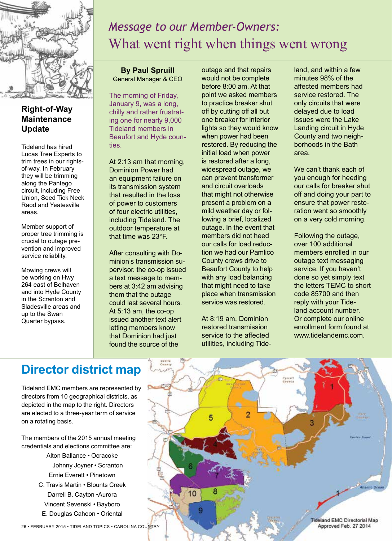

#### **Right-of-Way Maintenance Update**

Tideland has hired Lucas Tree Experts to trim trees in our rightsof-way. In February they will be trimming along the Pantego circuit, including Free Union, Seed Tick Neck Raod and Yeatesville areas.

Member support of proper tree trimming is crucial to outage prevention and improved service reliablity.

Mowing crews will be working on Hwy 264 east of Belhaven and into Hyde County in the Scranton and Sladesville areas and up to the Swan Quarter bypass.

## *Message to our Member-Owners:* What went right when things went wrong

**By Paul Spruill** General Manager & CEO

The morning of Friday, January 9, was a long, chilly and rather frustrating one for nearly 9,000 Tideland members in Beaufort and Hyde counties.

At 2:13 am that morning, Dominion Power had an equipment failure on its transmission system that resulted in the loss of power to customers of four electric utilities, including Tideland. The outdoor temperature at that time was 23°F.

After consulting with Dominion's transmission supervisor. the co-op issued a text message to members at 3:42 am advising them that the outage could last several hours. At 5:13 am, the co-op issued another text alert letting members know that Dominion had just found the source of the

outage and that repairs would not be complete before 8:00 am. At that point we asked members to practice breaker shut off by cutting off all but one breaker for interior lights so they would know when power had been restored. By reducing the initial load when power is restored after a long, widespread outage, we can prevent transformer and circuit overloads that might not otherwise present a problem on a mild weather day or following a brief, localized outage. In the event that members did not heed our calls for load reduction we had our Pamlico County crews drive to Beaufort County to help with any load balancing that might need to take place when transmission service was restored.

At 8:19 am, Dominion restored transmission service to the affected utilities, including Tide-

5

g

land, and within a few minutes 98% of the affected members had service restored. The only circuits that were delayed due to load issues were the Lake Landing circuit in Hyde County and two neighborhoods in the Bath area.

We can't thank each of you enough for heeding our calls for breaker shut off and doing your part to ensure that power restoration went so smoothly on a very cold morning.

Following the outage, over 100 additional members enrolled in our outage text messaging service. If you haven't done so yet simply text the letters TEMC to short code 85700 and then reply with your Tideland account number. Or complete our online enrollment form found at www.tidelandemc.com.

## **Director district map**

Tideland EMC members are represented by directors from 10 geographical districts, as depicted in the map to the right. Directors are elected to a three-year term of service on a rotating basis.

The members of the 2015 annual meeting credentials and elections committee are:

- Alton Ballance Ocracoke Johnny Joyner • Scranton Ernie Everett • Pinetown
- C. Travis Martin Blounts Creek Darrell B. Cayton •Aurora Vincent Sevenski • Bayboro
- E. Douglas Cahoon Oriental

**Tideland EMC Directorial Map** Approved Feb. 27 2014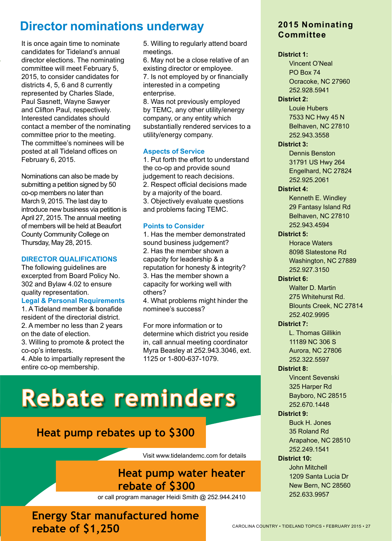## **Director nominations underway**

It is once again time to nominate candidates for Tideland's annual director elections. The nominating committee will meet February 5, 2015, to consider candidates for districts 4, 5, 6 and 8 currently represented by Charles Slade, Paul Sasnett, Wayne Sawyer and Clifton Paul, respectively. Interested candidates should contact a member of the nominating committee prior to the meeting. The committee's nominees will be posted at all Tideland offices on February 6, 2015.

Nominations can also be made by submitting a petition signed by 50 co-op members no later than March 9, 2015. The last day to introduce new business via petition is April 27, 2015. The annual meeting of members will be held at Beaufort County Community College on Thursday, May 28, 2015.

#### **DIRECTOR QUALIFICATIONS**

The following guidelines are excerpted from Board Policy No. 302 and Bylaw 4.02 to ensure quality representation.

#### **Legal & Personal Requirements**

1. A Tideland member & bonafide resident of the directorial district. 2. A member no less than 2 years on the date of election. 3. Willing to promote & protect the

co-op's interests. 4. Able to impartially represent the entire co-op membership.

5. Willing to regularly attend board meetings.

6. May not be a close relative of an existing director or employee. 7. Is not employed by or financially interested in a competing enterprise.

8. Was not previously employed by TEMC, any other utility/energy company, or any entity which substantially rendered services to a utility/energy company.

#### **Aspects of Service**

1. Put forth the effort to understand the co-op and provide sound judgement to reach decisions. 2. Respect official decisions made by a majority of the board. 3. Objectively evaluate questions and problems facing TEMC.

#### **Points to Consider**

1. Has the member demonstrated sound business judgement? 2. Has the member shown a capacity for leadership & a reputation for honesty & integrity? 3. Has the member shown a capacity for working well with others?

4. What problems might hinder the nominee's success?

For more information or to determine which district you reside in, call annual meeting coordinator Myra Beasley at 252.943.3046, ext. 1125 or 1-800-637-1079.

## **Rebate reminders**

### **Heat pump rebates up to \$300**

Visit www.tidelandemc.com for details

#### **Heat pump water heater rebate of \$300**

or call program manager Heidi Smith @ 252.944.2410

**Energy Star manufactured home rebate of \$1,250** 

#### **2015 Nominating Committee**

#### **District 1:**

Vincent O'Neal PO Box 74 Ocracoke, NC 27960 252.928.5941

#### **District 2:**

Louie Hubers 7533 NC Hwy 45 N Belhaven, NC 27810 252.943.3558

#### **District 3:**

Dennis Benston 31791 US Hwy 264 Engelhard, NC 27824 252.925.2061

#### **District 4:**

Kenneth E. Windley 29 Fantasy Island Rd Belhaven, NC 27810 252.943.4594

#### **District 5:**

Horace Waters 8098 Slatestone Rd Washington, NC 27889 252.927.3150

#### **District 6:**

Walter D. Martin 275 Whitehurst Rd. Blounts Creek, NC 27814 252.402.9995

#### **District 7:**

L. Thomas Gillikin 11189 NC 306 S Aurora, NC 27806 252.322.5597

#### **District 8:**

Vincent Sevenski 325 Harper Rd Bayboro, NC 28515 252.670.1448

#### **District 9:**

Buck H. Jones 35 Roland Rd Arapahoe, NC 28510 252.249.1541

#### **District 10:**

John Mitchell 1209 Santa Lucia Dr New Bern, NC 28560 252.633.9957